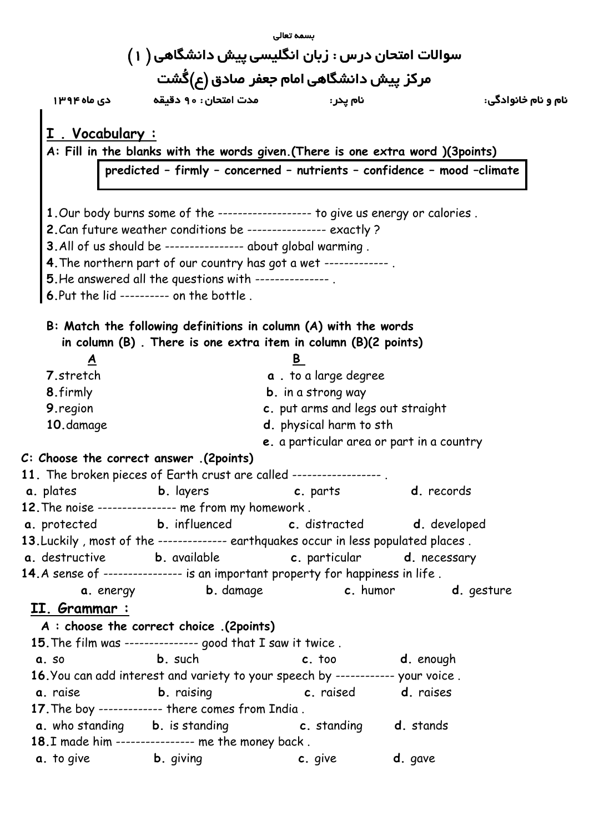|                                                                                                                                                            |                                                                                    | بسمه تعالى                        |                                           |                     |  |
|------------------------------------------------------------------------------------------------------------------------------------------------------------|------------------------------------------------------------------------------------|-----------------------------------|-------------------------------------------|---------------------|--|
|                                                                                                                                                            |                                                                                    |                                   |                                           |                     |  |
| سوالات امتحان درس : زبان انگلیسی پیش دانشگاهی ( ۱ )<br>مرکز پیش دانشگاهی امام جعفر صادق (ع)گُشت                                                            |                                                                                    |                                   |                                           |                     |  |
|                                                                                                                                                            | مدت امتحان: ٩٥ دقيقه معدد دي ماه ١٣٩٤                                              | نام يدر :                         |                                           | نام و نام خانوادگی: |  |
|                                                                                                                                                            |                                                                                    |                                   |                                           |                     |  |
| <u>. Vocabulary:</u>                                                                                                                                       |                                                                                    |                                   |                                           |                     |  |
| A: Fill in the blanks with the words given. (There is one extra word )(3points)<br>predicted - firmly - concerned - nutrients - confidence - mood -climate |                                                                                    |                                   |                                           |                     |  |
|                                                                                                                                                            |                                                                                    |                                   |                                           |                     |  |
|                                                                                                                                                            |                                                                                    |                                   |                                           |                     |  |
|                                                                                                                                                            | 1. Our body burns some of the ------------------ to give us energy or calories.    |                                   |                                           |                     |  |
|                                                                                                                                                            | 2. Can future weather conditions be --------------- exactly ?                      |                                   |                                           |                     |  |
|                                                                                                                                                            | 3. All of us should be --------------- about global warming.                       |                                   |                                           |                     |  |
|                                                                                                                                                            | 4. The northern part of our country has got a wet ------------.                    |                                   |                                           |                     |  |
|                                                                                                                                                            | 5. He answered all the questions with --------------.                              |                                   |                                           |                     |  |
|                                                                                                                                                            | 6. Put the lid --------- on the bottle.                                            |                                   |                                           |                     |  |
|                                                                                                                                                            | B: Match the following definitions in column (A) with the words                    |                                   |                                           |                     |  |
|                                                                                                                                                            | in column $(B)$ . There is one extra item in column $(B)(2 \text{ points})$        |                                   |                                           |                     |  |
| A                                                                                                                                                          |                                                                                    | B                                 |                                           |                     |  |
| 7.stretch                                                                                                                                                  |                                                                                    | <b>a</b> . to a large degree      |                                           |                     |  |
| 8.firmly                                                                                                                                                   |                                                                                    | <b>b</b> . in a strong way        |                                           |                     |  |
| 9.region                                                                                                                                                   |                                                                                    | c. put arms and legs out straight |                                           |                     |  |
| 10.damage                                                                                                                                                  |                                                                                    | d. physical harm to sth           |                                           |                     |  |
|                                                                                                                                                            |                                                                                    |                                   | e. a particular area or part in a country |                     |  |
|                                                                                                                                                            | C: Choose the correct answer .(2points)                                            |                                   |                                           |                     |  |
|                                                                                                                                                            | 11. The broken pieces of Earth crust are called -----------------.                 |                                   |                                           |                     |  |
|                                                                                                                                                            | <b>a</b> . plates <b>b.</b> layers <b>c.</b> parts <b>d.</b> records               |                                   |                                           |                     |  |
|                                                                                                                                                            | 12. The noise --------------- me from my homework.                                 |                                   |                                           |                     |  |
|                                                                                                                                                            | a. protected b. influenced c. distracted d. developed                              |                                   |                                           |                     |  |
|                                                                                                                                                            | 13. Luckily, most of the ------------- earthquakes occur in less populated places. |                                   |                                           |                     |  |
|                                                                                                                                                            | a. destructive b. available c. particular d. necessary                             |                                   |                                           |                     |  |
|                                                                                                                                                            | 14.A sense of --------------- is an important property for happiness in life.      |                                   |                                           |                     |  |
|                                                                                                                                                            | <b>a</b> energy b damage <b>c</b> humor <b>d</b> gesture                           |                                   |                                           |                     |  |
| <u>II. Grammar :</u>                                                                                                                                       |                                                                                    |                                   |                                           |                     |  |
|                                                                                                                                                            | A : choose the correct choice .(2points)                                           |                                   |                                           |                     |  |
|                                                                                                                                                            | 15. The film was -------------- good that I saw it twice.                          |                                   |                                           |                     |  |
|                                                                                                                                                            | <b>a</b> so <b>b</b> such                                                          |                                   | c. too d. enough                          |                     |  |
|                                                                                                                                                            | 16. You can add interest and variety to your speech by ------------ your voice.    |                                   |                                           |                     |  |
|                                                                                                                                                            | <b>a</b> . raise <b>b.</b> raising <b>c.</b> raised <b>d.</b> raises               |                                   |                                           |                     |  |
|                                                                                                                                                            | 17. The boy ------------ there comes from India.                                   |                                   |                                           |                     |  |
|                                                                                                                                                            | a. who standing b. is standing c. standing d. stands                               |                                   |                                           |                     |  |
|                                                                                                                                                            | 18.I made him --------------- me the money back.                                   |                                   |                                           |                     |  |
|                                                                                                                                                            | <b>a.</b> to give <b>b.</b> giving <b>c.</b> give <b>d.</b> gave                   |                                   |                                           |                     |  |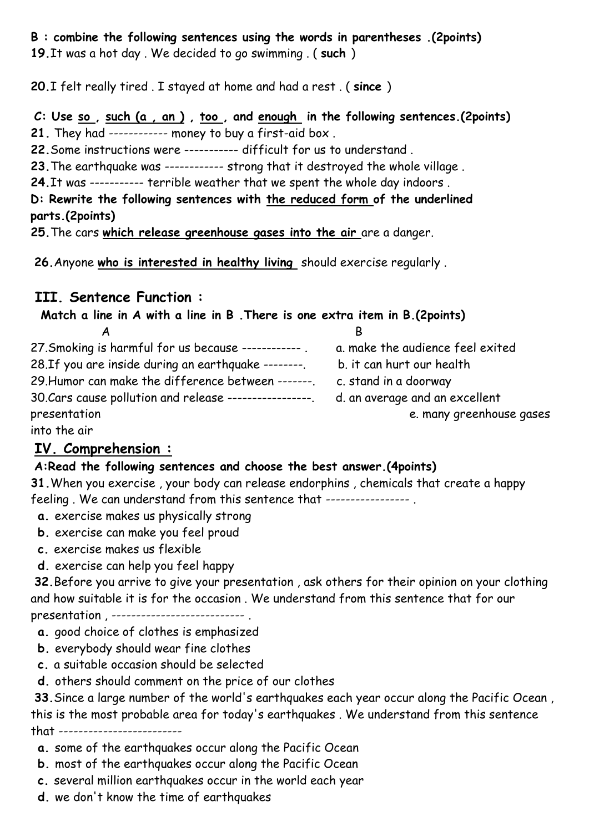#### **B : combine the following sentences using the words in parentheses .(2points) 19.**It was a hot day . We decided to go swimming . ( **such** )

**20.**I felt really tired . I stayed at home and had a rest . ( **since** )

**C: Use so , such (a , an ) , too , and enough in the following sentences.(2points) 21.** They had ------------ money to buy a first-aid box .

**22.**Some instructions were ----------- difficult for us to understand .

**23.**The earthquake was ------------ strong that it destroyed the whole village .

**24.**It was ----------- terrible weather that we spent the whole day indoors .

**D: Rewrite the following sentences with the reduced form of the underlined parts.(2points)**

**25.**The cars **which release greenhouse gases into the air** are a danger.

**26.**Anyone **who is interested in healthy living** should exercise regularly .

## **III. Sentence Function :**

**Match a line in A with a line in B .There is one extra item in B.(2points)** A B

| 27. Smoking is harmful for us because ------------     | a. make the audience feel exited |
|--------------------------------------------------------|----------------------------------|
| 28. If you are inside during an earthquake --------    | b. it can hurt our health        |
| 29. Humor can make the difference between -------.     | c. stand in a doorway            |
| 30. Cars cause pollution and release ----------------- | d. an average and an excellent   |
| presentation                                           | e. many greenhouse gases         |
|                                                        |                                  |

into the air

## **IV. Comprehension :**

#### **A:Read the following sentences and choose the best answer.(4points)**

**31.**When you exercise , your body can release endorphins , chemicals that create a happy feeling . We can understand from this sentence that ----------------- .

- **a.** exercise makes us physically strong
- **b.** exercise can make you feel proud
- **c.** exercise makes us flexible
- **d.** exercise can help you feel happy

**32.**Before you arrive to give your presentation , ask others for their opinion on your clothing and how suitable it is for the occasion . We understand from this sentence that for our presentation, ----------------------------

- **a.** good choice of clothes is emphasized
- **b.** everybody should wear fine clothes
- **c.** a suitable occasion should be selected
- **d.** others should comment on the price of our clothes

**33.**Since a large number of the world's earthquakes each year occur along the Pacific Ocean , this is the most probable area for today's earthquakes . We understand from this sentence that -------------------------

- **a.** some of the earthquakes occur along the Pacific Ocean
- **b.** most of the earthquakes occur along the Pacific Ocean
- **c.** several million earthquakes occur in the world each year
- **d.** we don't know the time of earthquakes